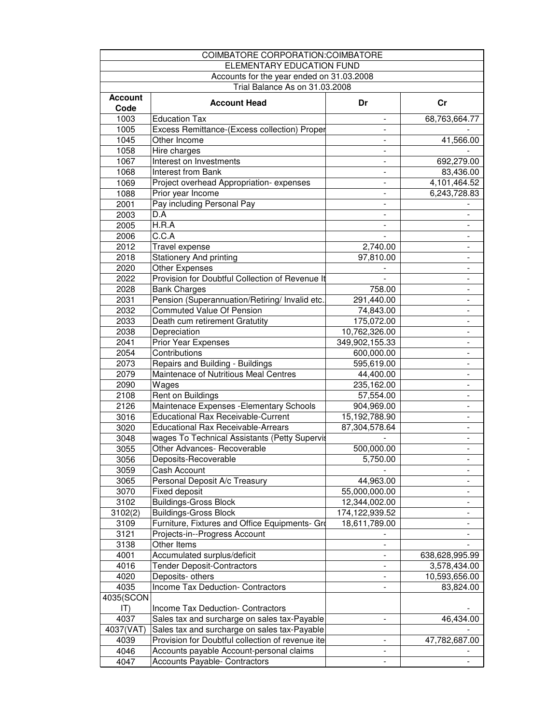| COIMBATORE CORPORATION: COIMBATORE        |                                                  |                          |                          |  |  |  |
|-------------------------------------------|--------------------------------------------------|--------------------------|--------------------------|--|--|--|
| ELEMENTARY EDUCATION FUND                 |                                                  |                          |                          |  |  |  |
| Accounts for the year ended on 31.03.2008 |                                                  |                          |                          |  |  |  |
| Trial Balance As on 31.03.2008            |                                                  |                          |                          |  |  |  |
| <b>Account</b>                            |                                                  |                          |                          |  |  |  |
| Code                                      | <b>Account Head</b>                              | Dr                       | Cr                       |  |  |  |
| 1003                                      | <b>Education Tax</b>                             | $\overline{\phantom{a}}$ | 68,763,664.77            |  |  |  |
| 1005                                      | Excess Remittance-(Excess collection) Proper     | $\overline{\phantom{0}}$ |                          |  |  |  |
| 1045                                      | Other Income                                     | $\overline{\phantom{a}}$ | 41,566.00                |  |  |  |
| 1058                                      | Hire charges                                     | -                        |                          |  |  |  |
| 1067                                      | Interest on Investments                          | $\overline{\phantom{0}}$ | 692,279.00               |  |  |  |
| 1068                                      | Interest from Bank                               | $\overline{\phantom{0}}$ | 83,436.00                |  |  |  |
| 1069                                      | Project overhead Appropriation-expenses          | $\overline{\phantom{0}}$ | 4,101,464.52             |  |  |  |
| 1088                                      | Prior year Income                                | $\overline{\phantom{0}}$ | 6,243,728.83             |  |  |  |
| 2001                                      | Pay including Personal Pay                       | $\overline{\phantom{0}}$ |                          |  |  |  |
| 2003                                      | D.A                                              |                          |                          |  |  |  |
|                                           |                                                  | $\overline{\phantom{0}}$ |                          |  |  |  |
| 2005                                      | H.R.A                                            |                          |                          |  |  |  |
| 2006                                      | C.C.A                                            |                          |                          |  |  |  |
| 2012                                      | Travel expense                                   | 2,740.00                 |                          |  |  |  |
| 2018                                      | <b>Stationery And printing</b>                   | 97,810.00                | $\frac{1}{2}$            |  |  |  |
| 2020                                      | Other Expenses                                   |                          | $\overline{\phantom{a}}$ |  |  |  |
| 2022                                      | Provision for Doubtful Collection of Revenue It  |                          | $\blacksquare$           |  |  |  |
| 2028                                      | <b>Bank Charges</b>                              | 758.00                   | $\blacksquare$           |  |  |  |
| 2031                                      | Pension (Superannuation/Retiring/ Invalid etc.   | 291,440.00               | $\overline{\phantom{a}}$ |  |  |  |
| 2032                                      | <b>Commuted Value Of Pension</b>                 | 74,843.00                | $\blacksquare$           |  |  |  |
| 2033                                      | Death cum retirement Gratutity                   | 175,072.00               | $\blacksquare$           |  |  |  |
| 2038                                      | Depreciation                                     | 10,762,326.00            | $\overline{\phantom{a}}$ |  |  |  |
| 2041                                      | <b>Prior Year Expenses</b>                       | 349,902,155.33           | $\overline{\phantom{0}}$ |  |  |  |
| 2054                                      | Contributions                                    | 600,000.00               | $\overline{\phantom{a}}$ |  |  |  |
| 2073                                      | Repairs and Building - Buildings                 | 595,619.00               | $\blacksquare$           |  |  |  |
| 2079                                      | Maintenace of Nutritious Meal Centres            | 44,400.00                | $\blacksquare$           |  |  |  |
| 2090                                      | Wages                                            | 235,162.00               | $\blacksquare$           |  |  |  |
| 2108                                      | Rent on Buildings                                | 57,554.00                | $\frac{1}{2}$            |  |  |  |
| 2126                                      | Maintenace Expenses - Elementary Schools         | 904,969.00               |                          |  |  |  |
| 3016                                      | <b>Educational Rax Receivable-Current</b>        | 15,192,788.90            |                          |  |  |  |
| 3020                                      | Educational Rax Receivable-Arrears               | 87,304,578.64            |                          |  |  |  |
| 3048                                      | wages To Technical Assistants (Petty Supervis    |                          |                          |  |  |  |
| 3055                                      | Other Advances- Recoverable                      | 500,000.00               | $\overline{\phantom{a}}$ |  |  |  |
| 3056                                      | Deposits-Recoverable                             | 5,750.00                 |                          |  |  |  |
| 3059                                      | Cash Account                                     |                          | $\overline{\phantom{a}}$ |  |  |  |
| 3065                                      | Personal Deposit A/c Treasury                    | 44,963.00                |                          |  |  |  |
| 3070                                      | <b>Fixed deposit</b>                             | 55,000,000.00            |                          |  |  |  |
| 3102                                      | <b>Buildings-Gross Block</b>                     | 12,344,002.00            | -                        |  |  |  |
| 3102(2)                                   | <b>Buildings-Gross Block</b>                     | 174,122,939.52           | $\overline{\phantom{a}}$ |  |  |  |
| 3109                                      | Furniture, Fixtures and Office Equipments- Gro   | 18,611,789.00            |                          |  |  |  |
| 3121                                      | Projects-in--Progress Account                    |                          |                          |  |  |  |
| 3138                                      | Other Items                                      | $\frac{1}{2}$            |                          |  |  |  |
| 4001                                      | Accumulated surplus/deficit                      | $\overline{\phantom{0}}$ | 638,628,995.99           |  |  |  |
| 4016                                      | <b>Tender Deposit-Contractors</b>                |                          | 3,578,434.00             |  |  |  |
| 4020                                      | Deposits- others                                 |                          | 10,593,656.00            |  |  |  |
| 4035                                      | Income Tax Deduction- Contractors                |                          | 83,824.00                |  |  |  |
| 4035(SCON                                 |                                                  |                          |                          |  |  |  |
| $ T\rangle$                               | Income Tax Deduction- Contractors                |                          |                          |  |  |  |
| 4037                                      | Sales tax and surcharge on sales tax-Payable     | $\overline{\phantom{0}}$ | 46,434.00                |  |  |  |
| 4037(VAT)                                 | Sales tax and surcharge on sales tax-Payable     |                          |                          |  |  |  |
| 4039                                      | Provision for Doubtful collection of revenue ite | $\overline{\phantom{a}}$ | 47,782,687.00            |  |  |  |
| 4046                                      | Accounts payable Account-personal claims         | $\overline{\phantom{a}}$ |                          |  |  |  |
| 4047                                      | Accounts Payable- Contractors                    |                          |                          |  |  |  |
|                                           |                                                  |                          |                          |  |  |  |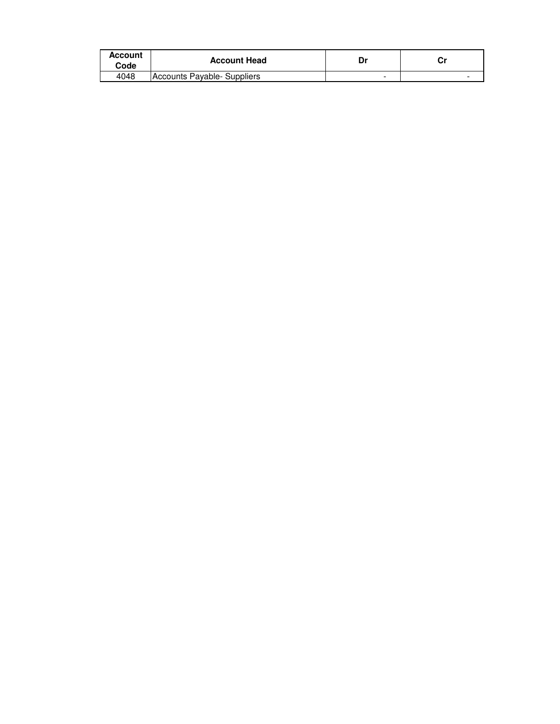| <b>Account</b><br>Code | <b>Account Head</b>         | Dr | г. |
|------------------------|-----------------------------|----|----|
| 4048                   | Accounts Payable- Suppliers | -  |    |